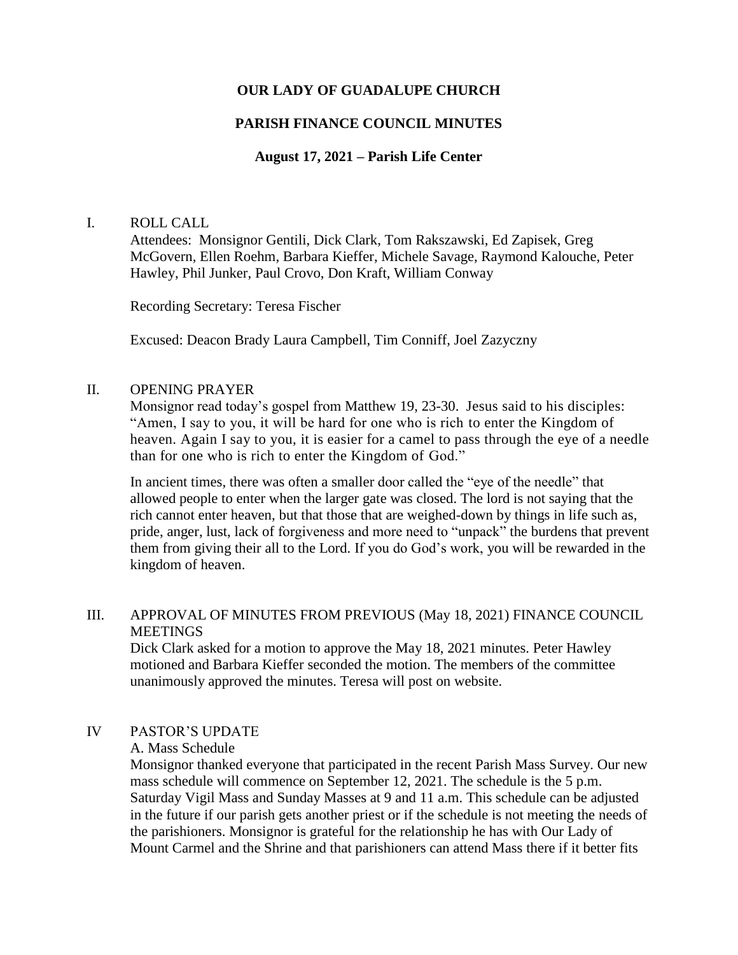## **OUR LADY OF GUADALUPE CHURCH**

### **PARISH FINANCE COUNCIL MINUTES**

### **August 17, 2021 – Parish Life Center**

#### I. ROLL CALL

Attendees: Monsignor Gentili, Dick Clark, Tom Rakszawski, Ed Zapisek, Greg McGovern, Ellen Roehm, Barbara Kieffer, Michele Savage, Raymond Kalouche, Peter Hawley, Phil Junker, Paul Crovo, Don Kraft, William Conway

Recording Secretary: Teresa Fischer

Excused: Deacon Brady Laura Campbell, Tim Conniff, Joel Zazyczny

#### II. OPENING PRAYER

Monsignor read today's gospel from Matthew 19, 23-30. Jesus said to his disciples: "Amen, I say to you, it will be hard for one who is rich to enter the Kingdom of heaven. Again I say to you, it is easier for a camel to pass through the eye of a needle than for one who is rich to enter the Kingdom of God."

In ancient times, there was often a smaller door called the "eye of the needle" that allowed people to enter when the larger gate was closed. The lord is not saying that the rich cannot enter heaven, but that those that are weighed-down by things in life such as, pride, anger, lust, lack of forgiveness and more need to "unpack" the burdens that prevent them from giving their all to the Lord. If you do God's work, you will be rewarded in the kingdom of heaven.

### III. APPROVAL OF MINUTES FROM PREVIOUS (May 18, 2021) FINANCE COUNCIL MEETINGS

Dick Clark asked for a motion to approve the May 18, 2021 minutes. Peter Hawley motioned and Barbara Kieffer seconded the motion. The members of the committee unanimously approved the minutes. Teresa will post on website.

## IV PASTOR'S UPDATE

#### A. Mass Schedule

Monsignor thanked everyone that participated in the recent Parish Mass Survey. Our new mass schedule will commence on September 12, 2021. The schedule is the 5 p.m. Saturday Vigil Mass and Sunday Masses at 9 and 11 a.m. This schedule can be adjusted in the future if our parish gets another priest or if the schedule is not meeting the needs of the parishioners. Monsignor is grateful for the relationship he has with Our Lady of Mount Carmel and the Shrine and that parishioners can attend Mass there if it better fits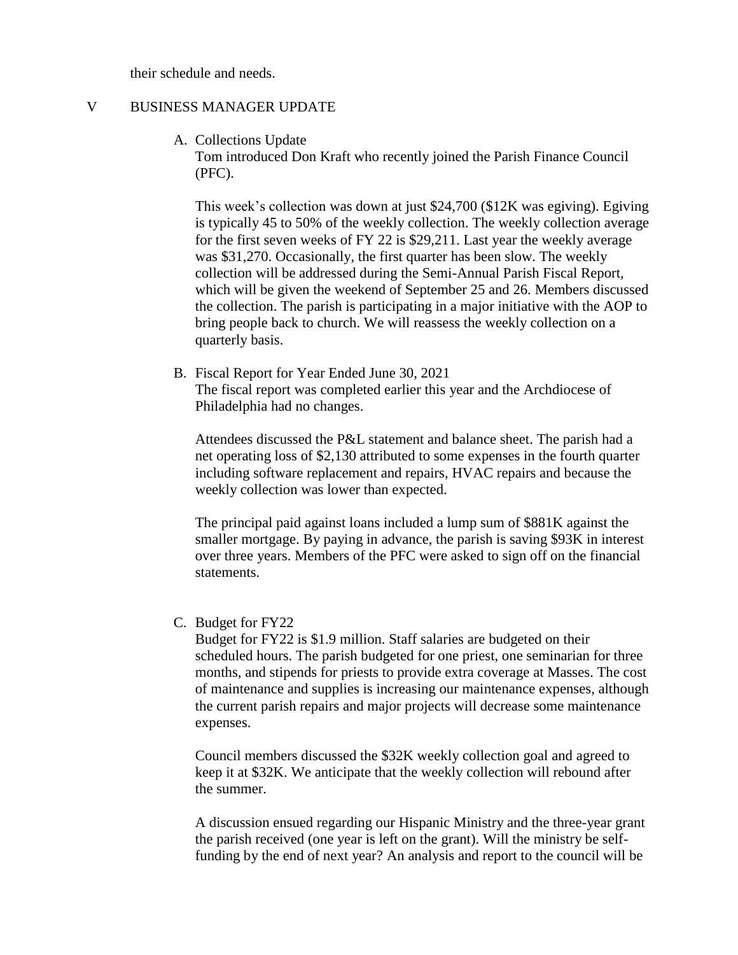their schedule and needs.

## V BUSINESS MANAGER UPDATE

A. Collections Update

Tom introduced Don Kraft who recently joined the Parish Finance Council (PFC).

This week's collection was down at just \$24,700 (\$12K was egiving). Egiving is typically 45 to 50% of the weekly collection. The weekly collection average for the first seven weeks of FY 22 is \$29,211. Last year the weekly average was \$31,270. Occasionally, the first quarter has been slow. The weekly collection will be addressed during the Semi-Annual Parish Fiscal Report, which will be given the weekend of September 25 and 26. Members discussed the collection. The parish is participating in a major initiative with the AOP to bring people back to church. We will reassess the weekly collection on a quarterly basis.

B. Fiscal Report for Year Ended June 30, 2021 The fiscal report was completed earlier this year and the Archdiocese of Philadelphia had no changes.

Attendees discussed the P&L statement and balance sheet. The parish had a net operating loss of \$2,130 attributed to some expenses in the fourth quarter including software replacement and repairs, HVAC repairs and because the weekly collection was lower than expected.

The principal paid against loans included a lump sum of \$881K against the smaller mortgage. By paying in advance, the parish is saving \$93K in interest over three years. Members of the PFC were asked to sign off on the financial statements.

C. Budget for FY22

Budget for FY22 is \$1.9 million. Staff salaries are budgeted on their scheduled hours. The parish budgeted for one priest, one seminarian for three months, and stipends for priests to provide extra coverage at Masses. The cost of maintenance and supplies is increasing our maintenance expenses, although the current parish repairs and major projects will decrease some maintenance expenses.

Council members discussed the \$32K weekly collection goal and agreed to keep it at \$32K. We anticipate that the weekly collection will rebound after the summer.

A discussion ensued regarding our Hispanic Ministry and the three-year grant the parish received (one year is left on the grant). Will the ministry be selffunding by the end of next year? An analysis and report to the council will be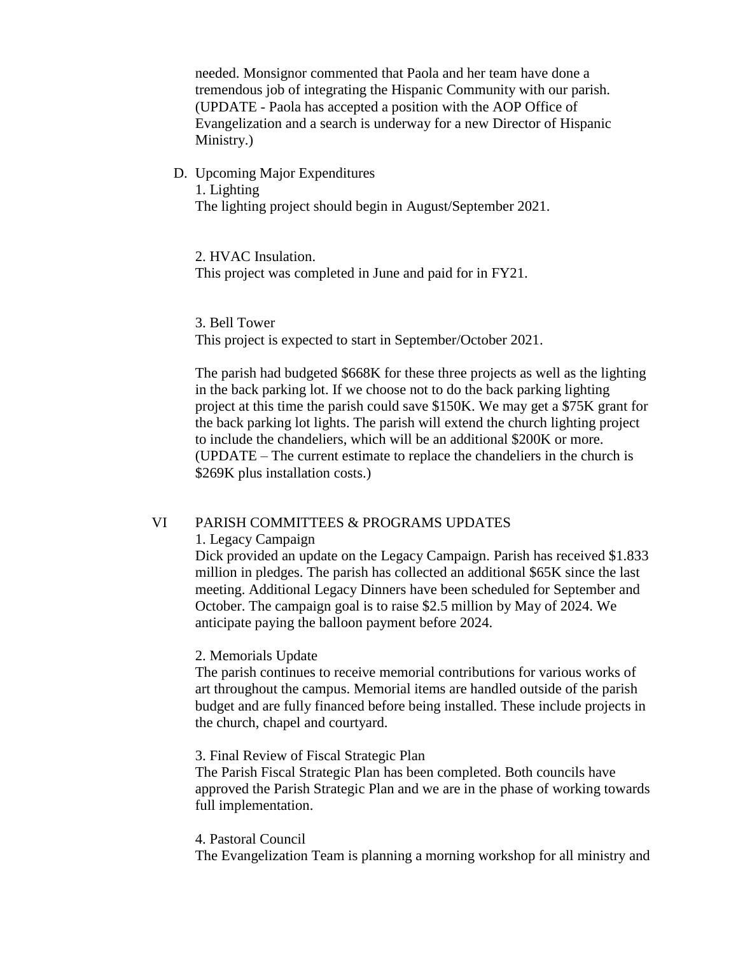needed. Monsignor commented that Paola and her team have done a tremendous job of integrating the Hispanic Community with our parish. (UPDATE - Paola has accepted a position with the AOP Office of Evangelization and a search is underway for a new Director of Hispanic Ministry.)

D. Upcoming Major Expenditures 1. Lighting The lighting project should begin in August/September 2021.

2. HVAC Insulation.

This project was completed in June and paid for in FY21.

This project is expected to start in September/October 2021.

The parish had budgeted \$668K for these three projects as well as the lighting in the back parking lot. If we choose not to do the back parking lighting project at this time the parish could save \$150K. We may get a \$75K grant for the back parking lot lights. The parish will extend the church lighting project to include the chandeliers, which will be an additional \$200K or more. (UPDATE – The current estimate to replace the chandeliers in the church is \$269K plus installation costs.)

#### VI PARISH COMMITTEES & PROGRAMS UPDATES

#### 1. Legacy Campaign

Dick provided an update on the Legacy Campaign. Parish has received \$1.833 million in pledges. The parish has collected an additional \$65K since the last meeting. Additional Legacy Dinners have been scheduled for September and October. The campaign goal is to raise \$2.5 million by May of 2024. We anticipate paying the balloon payment before 2024.

#### 2. Memorials Update

The parish continues to receive memorial contributions for various works of art throughout the campus. Memorial items are handled outside of the parish budget and are fully financed before being installed. These include projects in the church, chapel and courtyard.

### 3. Final Review of Fiscal Strategic Plan

The Parish Fiscal Strategic Plan has been completed. Both councils have approved the Parish Strategic Plan and we are in the phase of working towards full implementation.

#### 4. Pastoral Council

The Evangelization Team is planning a morning workshop for all ministry and

<sup>3.</sup> Bell Tower